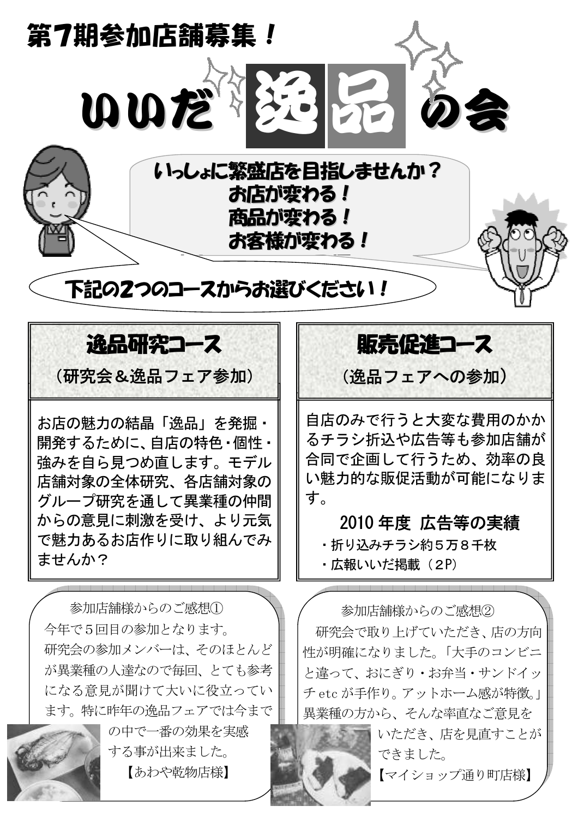